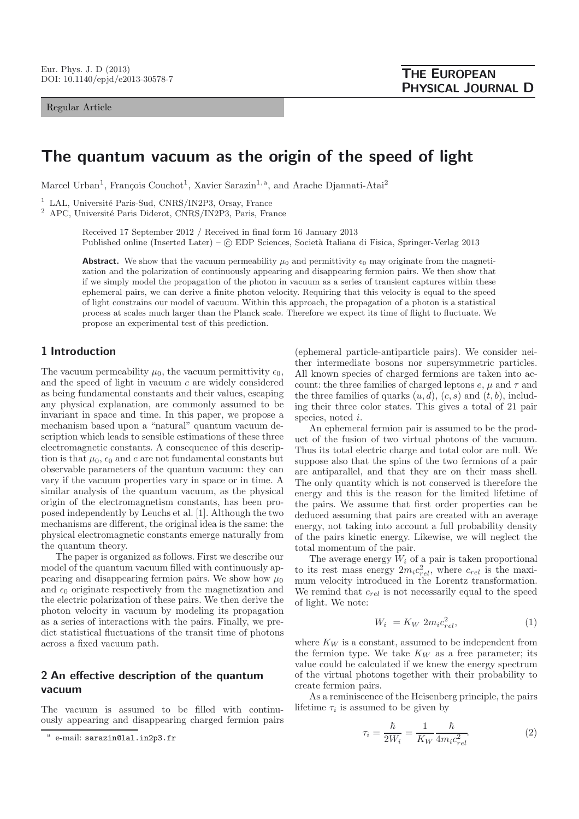#### Regular Article

# **The quantum vacuum as the origin of the speed of light**

Marcel Urban<sup>1</sup>, François Couchot<sup>1</sup>, Xavier Sarazin<sup>1,a</sup>, and Arache Djannati-Atai<sup>2</sup>

 $1$  LAL, Université Paris-Sud, CNRS/IN2P3, Orsay, France

<sup>2</sup> APC, Université Paris Diderot, CNRS/IN2P3, Paris, France

Received 17 September 2012 / Received in final form 16 January 2013 Published online (Inserted Later) –  $\odot$  EDP Sciences, Società Italiana di Fisica, Springer-Verlag 2013

**Abstract.** We show that the vacuum permeability  $\mu_0$  and permittivity  $\epsilon_0$  may originate from the magnetization and the polarization of continuously appearing and disappearing fermion pairs. We then show that if we simply model the propagation of the photon in vacuum as a series of transient captures within these ephemeral pairs, we can derive a finite photon velocity. Requiring that this velocity is equal to the speed of light constrains our model of vacuum. Within this approach, the propagation of a photon is a statistical process at scales much larger than the Planck scale. Therefore we expect its time of flight to fluctuate. We propose an experimental test of this prediction.

# **1 Introduction**

The vacuum permeability  $\mu_0$ , the vacuum permittivity  $\epsilon_0$ , and the speed of light in vacuum c are widely considered as being fundamental constants and their values, escaping any physical explanation, are commonly assumed to be invariant in space and time. In this paper, we propose a mechanism based upon a "natural" quantum vacuum description which leads to sensible estimations of these three electromagnetic constants. A consequence of this description is that  $\mu_0$ ,  $\epsilon_0$  and c are not fundamental constants but observable parameters of the quantum vacuum: they can vary if the vacuum properties vary in space or in time. A similar analysis of the quantum vacuum, as the physical origin of the electromagnetism constants, has been proposed independently by Leuchs et al. [1]. Although the two mechanisms are different, the original idea is the same: the physical electromagnetic constants emerge naturally from the quantum theory.

The paper is organized as follows. First we describe our model of the quantum vacuum filled with continuously appearing and disappearing fermion pairs. We show how  $\mu_0$ and  $\epsilon_0$  originate respectively from the magnetization and the electric polarization of these pairs. We then derive the photon velocity in vacuum by modeling its propagation as a series of interactions with the pairs. Finally, we predict statistical fluctuations of the transit time of photons across a fixed vacuum path.

# **2 An effective description of the quantum vacuum**

The vacuum is assumed to be filled with continuously appearing and disappearing charged fermion pairs

(ephemeral particle-antiparticle pairs). We consider neither intermediate bosons nor supersymmetric particles. All known species of charged fermions are taken into account: the three families of charged leptons  $e, \mu$  and  $\tau$  and the three families of quarks  $(u, d)$ ,  $(c, s)$  and  $(t, b)$ , including their three color states. This gives a total of 21 pair species, noted *i*.

An ephemeral fermion pair is assumed to be the product of the fusion of two virtual photons of the vacuum. Thus its total electric charge and total color are null. We suppose also that the spins of the two fermions of a pair are antiparallel, and that they are on their mass shell. The only quantity which is not conserved is therefore the energy and this is the reason for the limited lifetime of the pairs. We assume that first order properties can be deduced assuming that pairs are created with an average energy, not taking into account a full probability density of the pairs kinetic energy. Likewise, we will neglect the total momentum of the pair.

The average energy  $W_i$  of a pair is taken proportional to its rest mass energy  $2m_i c_{rel}^2$ , where  $c_{rel}$  is the maxi-<br>mum velocity introduced in the Lorentz transformation mum velocity introduced in the Lorentz transformation. We remind that  $c_{rel}$  is not necessarily equal to the speed of light. We note:

$$
W_i = K_W 2m_i c_{rel}^2,\tag{1}
$$

where  $K_W$  is a constant, assumed to be independent from the fermion type. We take  $K_W$  as a free parameter; its value could be calculated if we knew the energy spectrum of the virtual photons together with their probability to create fermion pairs.

As a reminiscence of the Heisenberg principle, the pairs lifetime  $\tau_i$  is assumed to be given by

$$
\tau_i = \frac{\hbar}{2W_i} = \frac{1}{K_W} \frac{\hbar}{4m_i c_{rel}^2}.\tag{2}
$$

<sup>a</sup> e-mail: sarazin@lal.in2p3.fr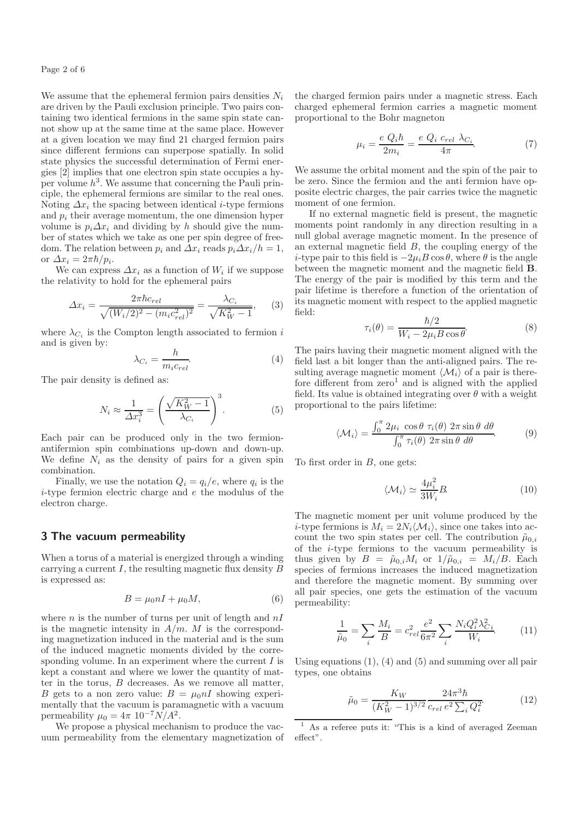We assume that the ephemeral fermion pairs densities  $N_i$ are driven by the Pauli exclusion principle. Two pairs containing two identical fermions in the same spin state cannot show up at the same time at the same place. However at a given location we may find 21 charged fermion pairs since different fermions can superpose spatially. In solid state physics the successful determination of Fermi energies [2] implies that one electron spin state occupies a hyper volume  $h^3$ . We assume that concerning the Pauli principle, the ephemeral fermions are similar to the real ones. Noting  $\Delta x_i$  the spacing between identical *i*-type fermions and  $p_i$  their average momentum, the one dimension hyper volume is  $p_i \Delta x_i$  and dividing by h should give the number of states which we take as one per spin degree of freedom. The relation between  $p_i$  and  $\Delta x_i$  reads  $p_i \Delta x_i / h = 1$ , or  $\Delta x_i = 2\pi\hbar/p_i$ .

We can express  $\Delta x_i$  as a function of  $W_i$  if we suppose the relativity to hold for the ephemeral pairs

$$
\Delta x_i = \frac{2\pi\hbar c_{rel}}{\sqrt{(W_i/2)^2 - (m_i c_{rel}^2)^2}} = \frac{\lambda_{C_i}}{\sqrt{K_W^2 - 1}},\qquad(3)
$$

where  $\lambda_{C_i}$  is the Compton length associated to fermion i and is given by:

$$
\lambda_{C_i} = \frac{h}{m_i c_{rel}}.\tag{4}
$$

The pair density is defined as:

$$
N_i \approx \frac{1}{\Delta x_i^3} = \left(\frac{\sqrt{K_W^2 - 1}}{\lambda_{C_i}}\right)^3.
$$
 (5)

Each pair can be produced only in the two fermionantifermion spin combinations up-down and down-up. We define  $N_i$  as the density of pairs for a given spin combination.

Finally, we use the notation  $Q_i = q_i/e$ , where  $q_i$  is the i-type fermion electric charge and e the modulus of the electron charge.

# **3 The vacuum permeability**

When a torus of a material is energized through a winding carrying a current  $I$ , the resulting magnetic flux density  $B$ is expressed as:

$$
B = \mu_0 nI + \mu_0 M,\t\t(6)
$$

where  $n$  is the number of turns per unit of length and  $nI$ is the magnetic intensity in  $A/m$ . M is the corresponding magnetization induced in the material and is the sum of the induced magnetic moments divided by the corresponding volume. In an experiment where the current  $I$  is kept a constant and where we lower the quantity of matter in the torus, B decreases. As we remove all matter, B gets to a non zero value:  $B = \mu_0 nI$  showing experimentally that the vacuum is paramagnetic with a vacuum permeability  $\mu_0 = 4\pi \ 10^{-7} N/A^2$ .

We propose a physical mechanism to produce the vacuum permeability from the elementary magnetization of the charged fermion pairs under a magnetic stress. Each charged ephemeral fermion carries a magnetic moment proportional to the Bohr magneton

$$
\mu_i = \frac{e Q_i \hbar}{2m_i} = \frac{e Q_i c_{rel} \lambda_{C_i}}{4\pi}.
$$
 (7)

We assume the orbital moment and the spin of the pair to be zero. Since the fermion and the anti fermion have opposite electric charges, the pair carries twice the magnetic moment of one fermion.

If no external magnetic field is present, the magnetic moments point randomly in any direction resulting in a null global average magnetic moment. In the presence of an external magnetic field  $B$ , the coupling energy of the i-type pair to this field is  $-2\mu_i B \cos \theta$ , where  $\theta$  is the angle between the magnetic moment and the magnetic field **B**. The energy of the pair is modified by this term and the pair lifetime is therefore a function of the orientation of its magnetic moment with respect to the applied magnetic field:

$$
\tau_i(\theta) = \frac{\hbar/2}{W_i - 2\mu_i B \cos \theta}.
$$
\n(8)

The pairs having their magnetic moment aligned with the field last a bit longer than the anti-aligned pairs. The resulting average magnetic moment  $\langle \mathcal{M}_i \rangle$  of a pair is therefore different from  $zero<sup>1</sup>$  and is aligned with the applied field. Its value is obtained integrating over  $\theta$  with a weight proportional to the pairs lifetime:

$$
\langle \mathcal{M}_i \rangle = \frac{\int_0^{\pi} 2\mu_i \, \cos \theta \, \tau_i(\theta) \, 2\pi \sin \theta \, d\theta}{\int_0^{\pi} \tau_i(\theta) \, 2\pi \sin \theta \, d\theta} \tag{9}
$$

To first order in B, one gets:

$$
\langle \mathcal{M}_i \rangle \simeq \frac{4\mu_i^2}{3W_i} B. \tag{10}
$$

The magnetic moment per unit volume produced by the *i*-type fermions is  $M_i = 2N_i \langle M_i \rangle$ , since one takes into account the two spin states per cell. The contribution  $\tilde{\mu}_{0,i}$ of the i-type fermions to the vacuum permeability is thus given by  $B = \tilde{\mu}_{0,i} M_i$  or  $1/\tilde{\mu}_{0,i} = M_i/B$ . Each species of fermions increases the induced magnetization and therefore the magnetic moment. By summing over all pair species, one gets the estimation of the vacuum permeability:

$$
\frac{1}{\tilde{\mu}_0} = \sum_i \frac{M_i}{B} = c_{rel}^2 \frac{e^2}{6\pi^2} \sum_i \frac{N_i Q_i^2 \lambda_{Ci}^2}{W_i}.
$$
 (11)

Using equations  $(1)$ ,  $(4)$  and  $(5)$  and summing over all pair types, one obtains

$$
\tilde{\mu}_0 = \frac{K_W}{(K_W^2 - 1)^{3/2}} \frac{24\pi^3 \hbar}{c_{rel} e^2 \sum_i Q_i^2}.
$$
\n(12)

<sup>1</sup> As a referee puts it: "This is a kind of averaged Zeeman effect".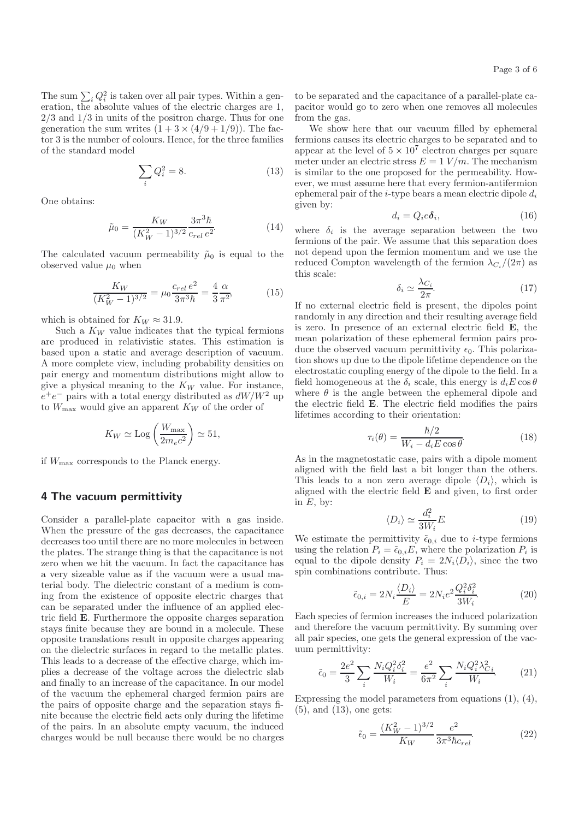The sum  $\sum_i Q_i^2$  is taken over all pair types. Within a generation the absolute values of the electric charges are 1 eration, the absolute values of the electric charges are 1,  $2/3$  and  $1/3$  in units of the positron charge. Thus for one generation the sum writes  $(1 + 3 \times (4/9 + 1/9))$ . The factor 3 is the number of colours. Hence, for the three families of the standard model

$$
\sum_{i} Q_i^2 = 8. \tag{13}
$$

One obtains:

$$
\tilde{\mu}_0 = \frac{K_W}{(K_W^2 - 1)^{3/2}} \frac{3\pi^3 \hbar}{c_{rel} e^2}.
$$
\n(14)

The calculated vacuum permeability  $\tilde{\mu}_0$  is equal to the observed value  $\mu_0$  when

$$
\frac{K_W}{(K_W^2 - 1)^{3/2}} = \mu_0 \frac{c_{rel} e^2}{3\pi^3 \hbar} = \frac{4}{3} \frac{\alpha}{\pi^2},\tag{15}
$$

which is obtained for  $K_W \approx 31.9$ .

Such a  $K_W$  value indicates that the typical fermions are produced in relativistic states. This estimation is based upon a static and average description of vacuum. A more complete view, including probability densities on pair energy and momentum distributions might allow to give a physical meaning to the  $K_W$  value. For instance,  $e^+e^-$  pairs with a total energy distributed as  $dW/W^2$  up to  $W_{\text{max}}$  would give an apparent  $K_W$  of the order of

$$
K_W \simeq \text{Log}\left(\frac{W_{\text{max}}}{2m_ec^2}\right) \simeq 51,
$$

if  $W_{\text{max}}$  corresponds to the Planck energy.

### **4 The vacuum permittivity**

Consider a parallel-plate capacitor with a gas inside. When the pressure of the gas decreases, the capacitance decreases too until there are no more molecules in between the plates. The strange thing is that the capacitance is not zero when we hit the vacuum. In fact the capacitance has a very sizeable value as if the vacuum were a usual material body. The dielectric constant of a medium is coming from the existence of opposite electric charges that can be separated under the influence of an applied electric field **E**. Furthermore the opposite charges separation stays finite because they are bound in a molecule. These opposite translations result in opposite charges appearing on the dielectric surfaces in regard to the metallic plates. This leads to a decrease of the effective charge, which implies a decrease of the voltage across the dielectric slab and finally to an increase of the capacitance. In our model of the vacuum the ephemeral charged fermion pairs are the pairs of opposite charge and the separation stays finite because the electric field acts only during the lifetime of the pairs. In an absolute empty vacuum, the induced charges would be null because there would be no charges

to be separated and the capacitance of a parallel-plate capacitor would go to zero when one removes all molecules from the gas.

We show here that our vacuum filled by ephemeral fermions causes its electric charges to be separated and to appear at the level of  $5 \times 10^7$  electron charges per square meter under an electric stress  $E = 1$   $V/m$ . The mechanism is similar to the one proposed for the permeability. However, we must assume here that every fermion-antifermion ephemeral pair of the *i*-type bears a mean electric dipole  $d_i$ given by:

$$
d_i = Q_i e \delta_i, \tag{16}
$$

where  $\delta_i$  is the average separation between the two fermions of the pair. We assume that this separation does not depend upon the fermion momentum and we use the reduced Compton wavelength of the fermion  $\lambda_{C_i}/(2\pi)$  as this scale:

$$
\delta_i \simeq \frac{\lambda_{C_i}}{2\pi}.\tag{17}
$$

If no external electric field is present, the dipoles point randomly in any direction and their resulting average field is zero. In presence of an external electric field **E**, the mean polarization of these ephemeral fermion pairs produce the observed vacuum permittivity  $\epsilon_0$ . This polarization shows up due to the dipole lifetime dependence on the electrostatic coupling energy of the dipole to the field. In a field homogeneous at the  $\delta_i$  scale, this energy is  $d_i E \cos \theta$ where  $\theta$  is the angle between the ephemeral dipole and the electric field **E**. The electric field modifies the pairs lifetimes according to their orientation:

$$
\tau_i(\theta) = \frac{\hbar/2}{W_i - d_i E \cos \theta}.
$$
\n(18)

As in the magnetostatic case, pairs with a dipole moment aligned with the field last a bit longer than the others. This leads to a non zero average dipole  $\langle D_i \rangle$ , which is aligned with the electric field **E** and given, to first order in  $E$ , by:

$$
\langle D_i \rangle \simeq \frac{d_i^2}{3W_i} E. \tag{19}
$$

 $\langle D_i \rangle \cong \frac{3W_i}{3W_i}$ . (19)<br>We estimate the permittivity  $\tilde{\epsilon}_{0,i}$  due to *i*-type fermions<br>weight the relation  $P = \tilde{\epsilon}_i$ . F, where the polarization P is using the relation  $P_i = \tilde{\epsilon}_{0,i} E$ , where the polarization  $P_i$  is equal to the dipole density  $P_i = 2N_i \langle D_i \rangle$ , since the two spin combinations contribute. Thus:

$$
\tilde{\epsilon}_{0,i} = 2N_i \frac{\langle D_i \rangle}{E} = 2N_i e^2 \frac{Q_i^2 \delta_i^2}{3W_i}.
$$
\n(20)

Each species of fermion increases the induced polarization and therefore the vacuum permittivity. By summing over all pair species, one gets the general expression of the vacuum permittivity:

$$
\tilde{\epsilon}_0 = \frac{2e^2}{3} \sum_i \frac{N_i Q_i^2 \delta_i^2}{W_i} = \frac{e^2}{6\pi^2} \sum_i \frac{N_i Q_i^2 \lambda_{Ci}^2}{W_i}.
$$
 (21)

Expressing the model parameters from equations (1), (4), (5), and (13), one gets:

$$
\tilde{\epsilon}_0 = \frac{(K_W^2 - 1)^{3/2}}{K_W} \frac{e^2}{3\pi^3 \hbar c_{rel}}.
$$
\n(22)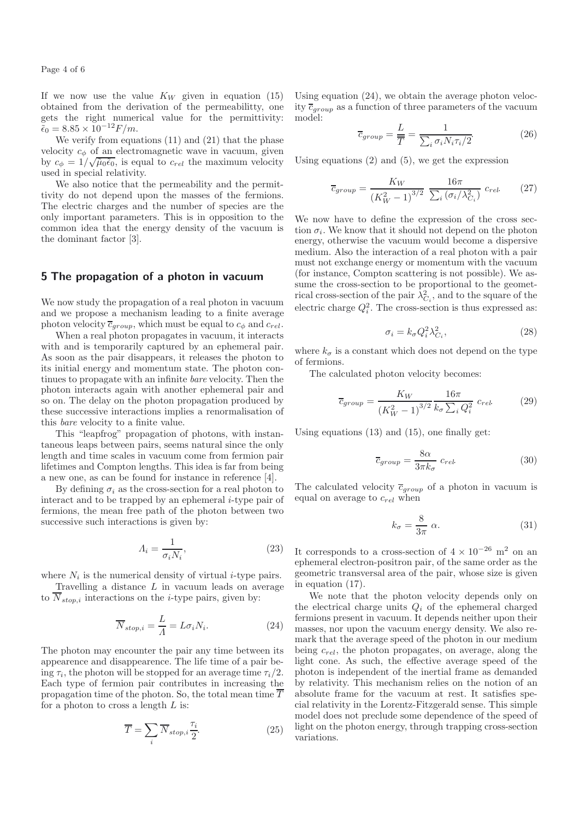Page 4 of 6

If we now use the value  $K_W$  given in equation (15) obtained from the derivation of the permeabilitty, one gets the right numerical value for the permittivity:  $\widetilde{\epsilon}_0 = 8.85 \times 10^{-12} F/m.$ 

We verify from equations (11) and (21) that the phase velocity  $c_{\phi}$  of an electromagnetic wave in vacuum, given  $\frac{\partial \phi}{\partial \phi} = 1/\sqrt{\tilde{\mu}_0 \tilde{\epsilon}_0}$ , is equal to  $c_{rel}$  the maximum velocity<br>wead in model polaristic used in special relativity.

We also notice that the permeability and the permittivity do not depend upon the masses of the fermions. The electric charges and the number of species are the only important parameters. This is in opposition to the common idea that the energy density of the vacuum is the dominant factor [3].

# **5 The propagation of a photon in vacuum**

We now study the propagation of a real photon in vacuum and we propose a mechanism leading to a finite average photon velocity  $\overline{c}_{group}$ , which must be equal to  $c_{\phi}$  and  $c_{rel}$ .

When a real photon propagates in vacuum, it interacts with and is temporarily captured by an ephemeral pair. As soon as the pair disappears, it releases the photon to its initial energy and momentum state. The photon continues to propagate with an infinite *bare* velocity. Then the photon interacts again with another ephemeral pair and so on. The delay on the photon propagation produced by these successive interactions implies a renormalisation of this *bare* velocity to a finite value.

This "leapfrog" propagation of photons, with instantaneous leaps between pairs, seems natural since the only length and time scales in vacuum come from fermion pair lifetimes and Compton lengths. This idea is far from being a new one, as can be found for instance in reference [4].

By defining  $\sigma_i$  as the cross-section for a real photon to interact and to be trapped by an ephemeral i-type pair of fermions, the mean free path of the photon between two successive such interactions is given by:

$$
\Lambda_i = \frac{1}{\sigma_i N_i},\tag{23}
$$

where  $N_i$  is the numerical density of virtual *i*-type pairs.

Travelling a distance  $L$  in vacuum leads on average to  $\overline{N}_{stop,i}$  interactions on the *i*-type pairs, given by:

$$
\overline{N}_{stop,i} = \frac{L}{\Lambda} = L\sigma_i N_i.
$$
\n(24)

The photon may encounter the pair any time between its appearence and disappearence. The life time of a pair being  $\tau_i$ , the photon will be stopped for an average time  $\tau_i/2$ . Each type of fermion pair contributes in increasing the propagation time of the photon. So, the total mean time  $\overline{T}$ for a photon to cross a length  $L$  is:

$$
\overline{T} = \sum_{i} \overline{N}_{stop,i} \frac{\tau_i}{2}.
$$
 (25)

Using equation (24), we obtain the average photon velocity  $\overline{c}_{group}$  as a function of three parameters of the vacuum model:

$$
\overline{c}_{group} = \frac{L}{\overline{T}} = \frac{1}{\sum_{i} \sigma_{i} N_{i} \tau_{i}/2}.
$$
 (26)

Using equations (2) and (5), we get the expression

$$
\overline{c}_{group} = \frac{K_W}{\left(K_W^2 - 1\right)^{3/2}} \frac{16\pi}{\sum_i \left(\sigma_i / \lambda_{C_i}^2\right)} c_{rel} \tag{27}
$$

We now have to define the expression of the cross section  $\sigma_i$ . We know that it should not depend on the photon energy, otherwise the vacuum would become a dispersive medium. Also the interaction of a real photon with a pair must not exchange energy or momentum with the vacuum (for instance, Compton scattering is not possible). We assume the cross-section to be proportional to the geometrical cross-section of the pair  $\lambda_{C_i}^2$ , and to the square of the electric charge  $Q_i^2$ . The cross-section is thus expressed as:

$$
\sigma_i = k_{\sigma} Q_i^2 \lambda_{C_i}^2, \qquad (28)
$$

where  $k_{\sigma}$  is a constant which does not depend on the type of fermions.

The calculated photon velocity becomes:

$$
\overline{c}_{group} = \frac{K_W}{\left(K_W^2 - 1\right)^{3/2}} \frac{16\pi}{k_\sigma \sum_i Q_i^2} c_{rel} \tag{29}
$$

Using equations (13) and (15), one finally get:

$$
\overline{c}_{group} = \frac{8\alpha}{3\pi k_{\sigma}} c_{rel}.
$$
\n(30)

The calculated velocity  $\overline{c}_{group}$  of a photon in vacuum is equal on average to  $c_{rel}$  when

$$
k_{\sigma} = \frac{8}{3\pi} \ \alpha. \tag{31}
$$

It corresponds to a cross-section of  $4 \times 10^{-26}$  m<sup>2</sup> on an ephemeral electron-positron pair, of the same order as the geometric transversal area of the pair, whose size is given in equation (17).

We note that the photon velocity depends only on the electrical charge units  $Q_i$  of the ephemeral charged fermions present in vacuum. It depends neither upon their masses, nor upon the vacuum energy density. We also remark that the average speed of the photon in our medium being  $c_{rel}$ , the photon propagates, on average, along the light cone. As such, the effective average speed of the photon is independent of the inertial frame as demanded by relativity. This mechanism relies on the notion of an absolute frame for the vacuum at rest. It satisfies special relativity in the Lorentz-Fitzgerald sense. This simple model does not preclude some dependence of the speed of light on the photon energy, through trapping cross-section variations.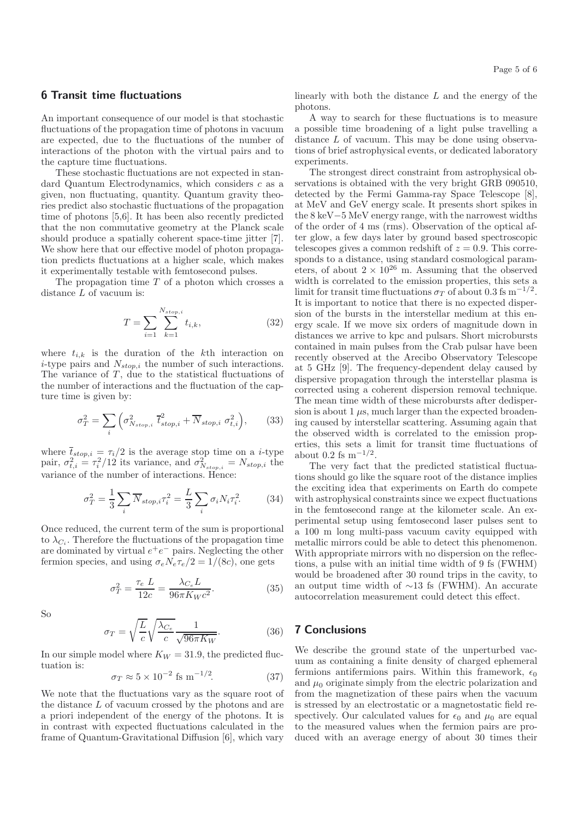# **6 Transit time fluctuations**

An important consequence of our model is that stochastic fluctuations of the propagation time of photons in vacuum are expected, due to the fluctuations of the number of interactions of the photon with the virtual pairs and to the capture time fluctuations.

These stochastic fluctuations are not expected in standard Quantum Electrodynamics, which considers c as a given, non fluctuating, quantity. Quantum gravity theories predict also stochastic fluctuations of the propagation time of photons [5,6]. It has been also recently predicted that the non commutative geometry at the Planck scale should produce a spatially coherent space-time jitter [7]. We show here that our effective model of photon propagation predicts fluctuations at a higher scale, which makes it experimentally testable with femtosecond pulses.

The propagation time  $T$  of a photon which crosses a distance L of vacuum is:

$$
T = \sum_{i=1}^{N_{stop,i}} \sum_{k=1}^{N_{stop,i}} t_{i,k},
$$
\n(32)

where  $t_{i,k}$  is the duration of the kth interaction on *i*-type pairs and  $N_{stop,i}$  the number of such interactions. The variance of  $T$ , due to the statistical fluctuations of the number of interactions and the fluctuation of the capture time is given by:

$$
\sigma_T^2 = \sum_i \left( \sigma_{N_{stop,i}}^2 \ \vec{t}_{stop,i}^2 + \overline{N}_{stop,i} \ \sigma_{t,i}^2 \right), \tag{33}
$$

where  $\bar{t}_{stop,i} = \tau_i/2$  is the average stop time on a *i*-type<br>pair,  $\sigma_{i,i}^2 = \tau_i^2/12$  its variance, and  $\sigma_{N_{stop,i}}^2 = N_{stop,i}$  the<br>unriance of the number of interactions Hence: variance of the number of interactions. Hence:

$$
\sigma_T^2 = \frac{1}{3} \sum_i \overline{N}_{stop,i} \tau_i^2 = \frac{L}{3} \sum_i \sigma_i N_i \tau_i^2.
$$
 (34)

Once reduced, the current term of the sum is proportional to  $\lambda_{C_i}$ . Therefore the fluctuations of the propagation time are dominated by virtual  $e^+e^-$  pairs. Neglecting the other fermion species, and using  $\sigma_e N_e \tau_e/2=1/(8c)$ , one gets

$$
\sigma_T^2 = \frac{\tau_e L}{12c} = \frac{\lambda_{C_e} L}{96\pi K_W c^2}.
$$
\n(35)

So

$$
\sigma_T = \sqrt{\frac{L}{c}} \sqrt{\frac{\lambda_{C_e}}{c}} \frac{1}{\sqrt{96\pi K_W}}.\tag{36}
$$

In our simple model where  $K_W = 31.9$ , the predicted fluctuation is:

$$
\sigma_T \approx 5 \times 10^{-2} \text{ fs m}^{-1/2}.
$$
 (37)

We note that the fluctuations vary as the square root of the distance L of vacuum crossed by the photons and are a priori independent of the energy of the photons. It is in contrast with expected fluctuations calculated in the frame of Quantum-Gravitational Diffusion [6], which vary

linearly with both the distance  $L$  and the energy of the photons.

A way to search for these fluctuations is to measure a possible time broadening of a light pulse travelling a distance L of vacuum. This may be done using observations of brief astrophysical events, or dedicated laboratory experiments.

The strongest direct constraint from astrophysical observations is obtained with the very bright GRB 090510, detected by the Fermi Gamma-ray Space Telescope [8], at MeV and GeV energy scale. It presents short spikes in the 8 keV−5 MeV energy range, with the narrowest widths of the order of 4 ms (rms). Observation of the optical after glow, a few days later by ground based spectroscopic telescopes gives a common redshift of  $z = 0.9$ . This corresponds to a distance, using standard cosmological parameters, of about  $2 \times 10^{26}$  m. Assuming that the observed width is correlated to the emission properties, this sets a limit for transit time fluctuations  $\sigma_T$  of about 0.3 fs m<sup>−1/2</sup>. It is important to notice that there is no expected dispersion of the bursts in the interstellar medium at this energy scale. If we move six orders of magnitude down in distances we arrive to kpc and pulsars. Short microbursts contained in main pulses from the Crab pulsar have been recently observed at the Arecibo Observatory Telescope at 5 GHz [9]. The frequency-dependent delay caused by dispersive propagation through the interstellar plasma is corrected using a coherent dispersion removal technique. The mean time width of these microbursts after dedispersion is about  $1 \mu s$ , much larger than the expected broadening caused by interstellar scattering. Assuming again that the observed width is correlated to the emission properties, this sets a limit for transit time fluctuations of about 0.2 fs m*−*1/<sup>2</sup>.

The very fact that the predicted statistical fluctuations should go like the square root of the distance implies the exciting idea that experiments on Earth do compete with astrophysical constraints since we expect fluctuations in the femtosecond range at the kilometer scale. An experimental setup using femtosecond laser pulses sent to a 100 m long multi-pass vacuum cavity equipped with metallic mirrors could be able to detect this phenomenon. With appropriate mirrors with no dispersion on the reflections, a pulse with an initial time width of 9 fs (FWHM) would be broadened after 30 round trips in the cavity, to an output time width of ∼13 fs (FWHM). An accurate autocorrelation measurement could detect this effect.

# **7 Conclusions**

We describe the ground state of the unperturbed vacuum as containing a finite density of charged ephemeral fermions antifermions pairs. Within this framework,  $\epsilon_0$ and  $\mu_0$  originate simply from the electric polarization and from the magnetization of these pairs when the vacuum is stressed by an electrostatic or a magnetostatic field respectively. Our calculated values for  $\epsilon_0$  and  $\mu_0$  are equal to the measured values when the fermion pairs are produced with an average energy of about 30 times their